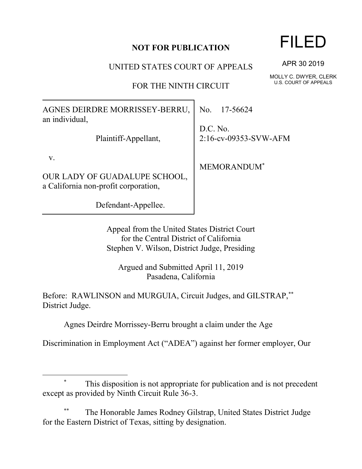## **NOT FOR PUBLICATION**

UNITED STATES COURT OF APPEALS

FOR THE NINTH CIRCUIT

AGNES DEIRDRE MORRISSEY-BERRU, an individual, Plaintiff-Appellant, v. OUR LADY OF GUADALUPE SCHOOL, a California non-profit corporation, No. 17-56624 D.C. No.

> Appeal from the United States District Court for the Central District of California Stephen V. Wilson, District Judge, Presiding

Argued and Submitted April 11, 2019 Pasadena, California

Before: RAWLINSON and MURGUIA, Circuit Judges, and GILSTRAP,\*\* District Judge.

Agnes Deirdre Morrissey-Berru brought a claim under the Age

Discrimination in Employment Act ("ADEA") against her former employer, Our

## This disposition is not appropriate for publication and is not precedent except as provided by Ninth Circuit Rule 36-3.

The Honorable James Rodney Gilstrap, United States District Judge for the Eastern District of Texas, sitting by designation.

APR 30 2019

MOLLY C. DWYER, CLERK U.S. COURT OF APPEALS

Defendant-Appellee.

 $\overline{a}$ 

2:16-cv-09353-SVW-AFM

MEMORANDUM\*

## FILED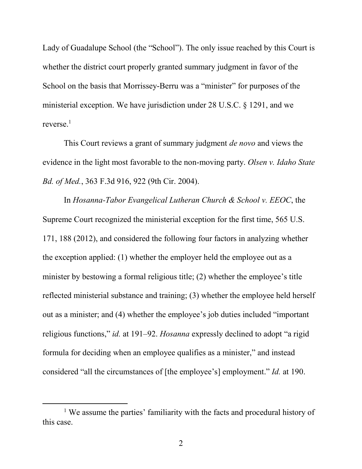Lady of Guadalupe School (the "School"). The only issue reached by this Court is whether the district court properly granted summary judgment in favor of the School on the basis that Morrissey-Berru was a "minister" for purposes of the ministerial exception. We have jurisdiction under 28 U.S.C. § 1291, and we reverse.<sup>1</sup>

This Court reviews a grant of summary judgment *de novo* and views the evidence in the light most favorable to the non-moving party. *Olsen v. Idaho State Bd. of Med.*, 363 F.3d 916, 922 (9th Cir. 2004).

In *Hosanna-Tabor Evangelical Lutheran Church & School v. EEOC*, the Supreme Court recognized the ministerial exception for the first time, 565 U.S. 171, 188 (2012), and considered the following four factors in analyzing whether the exception applied: (1) whether the employer held the employee out as a minister by bestowing a formal religious title; (2) whether the employee's title reflected ministerial substance and training; (3) whether the employee held herself out as a minister; and (4) whether the employee's job duties included "important religious functions," *id.* at 191–92. *Hosanna* expressly declined to adopt "a rigid formula for deciding when an employee qualifies as a minister," and instead considered "all the circumstances of [the employee's] employment." *Id.* at 190.

 $\overline{a}$ 

<sup>&</sup>lt;sup>1</sup> We assume the parties' familiarity with the facts and procedural history of this case.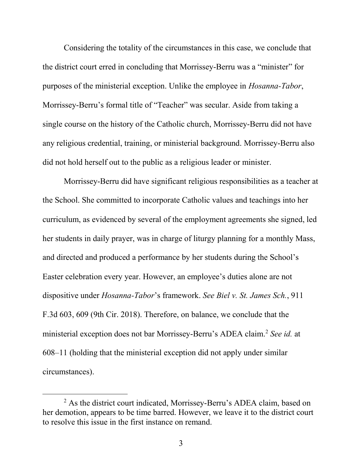Considering the totality of the circumstances in this case, we conclude that the district court erred in concluding that Morrissey-Berru was a "minister" for purposes of the ministerial exception. Unlike the employee in *Hosanna-Tabor*, Morrissey-Berru's formal title of "Teacher" was secular. Aside from taking a single course on the history of the Catholic church, Morrissey-Berru did not have any religious credential, training, or ministerial background. Morrissey-Berru also did not hold herself out to the public as a religious leader or minister.

Morrissey-Berru did have significant religious responsibilities as a teacher at the School. She committed to incorporate Catholic values and teachings into her curriculum, as evidenced by several of the employment agreements she signed, led her students in daily prayer, was in charge of liturgy planning for a monthly Mass, and directed and produced a performance by her students during the School's Easter celebration every year. However, an employee's duties alone are not dispositive under *Hosanna-Tabor*'s framework. *See Biel v. St. James Sch.*, 911 F.3d 603, 609 (9th Cir. 2018). Therefore, on balance, we conclude that the ministerial exception does not bar Morrissey-Berru's ADEA claim.<sup>2</sup> *See id.* at 608–11 (holding that the ministerial exception did not apply under similar circumstances).

 $\overline{a}$ 

<sup>&</sup>lt;sup>2</sup> As the district court indicated, Morrissey-Berru's ADEA claim, based on her demotion, appears to be time barred. However, we leave it to the district court to resolve this issue in the first instance on remand.